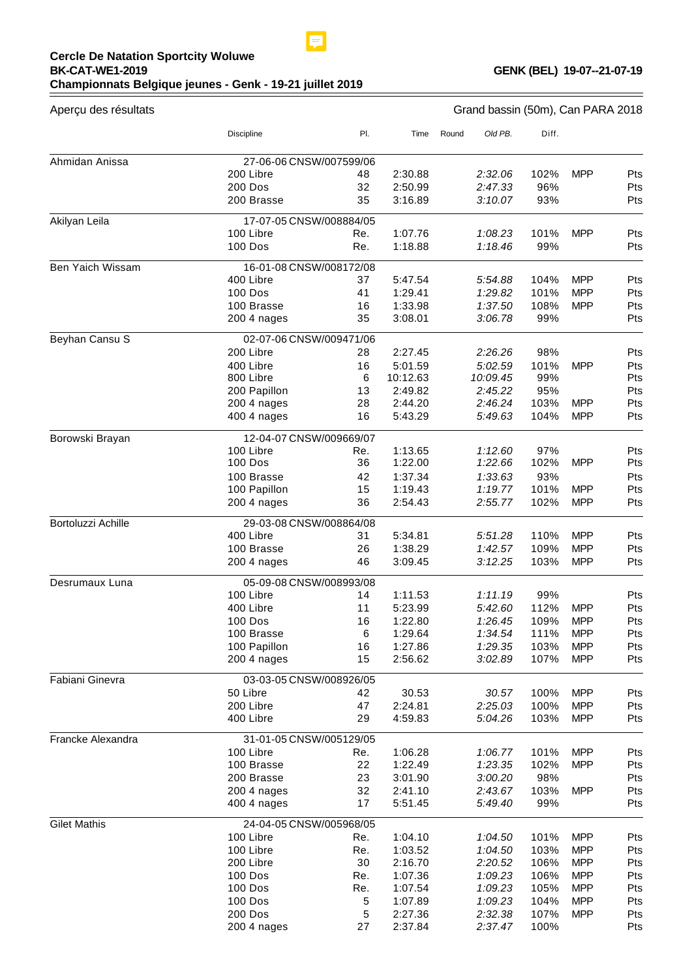## **Cercle De Natation Sportcity Woluwe BK-CAT-WE1-2019 Championnats Belgique jeunes - Genk - 19-21 juillet 2019**

 $=$ 

| Aperçu des résultats | Grand bassin (50m), Can PARA 2018    |           |                    |       |                    |              |                          |            |
|----------------------|--------------------------------------|-----------|--------------------|-------|--------------------|--------------|--------------------------|------------|
|                      | <b>Discipline</b>                    | PI.       | Time               | Round | Old PB.            | Diff.        |                          |            |
| Ahmidan Anissa       | 27-06-06 CNSW/007599/06              |           |                    |       |                    |              |                          |            |
|                      | 200 Libre                            | 48        | 2:30.88            |       | 2:32.06            | 102%         | <b>MPP</b>               | Pts        |
|                      | 200 Dos                              | 32        | 2:50.99            |       | 2:47.33            | 96%          |                          | Pts        |
|                      | 200 Brasse                           | 35        | 3:16.89            |       | 3:10.07            | 93%          |                          | Pts        |
| Akilyan Leila        | 17-07-05 CNSW/008884/05              |           |                    |       |                    |              |                          |            |
|                      | 100 Libre                            | Re.       | 1:07.76            |       | 1:08.23            | 101%         | <b>MPP</b>               | Pts        |
|                      | <b>100 Dos</b>                       | Re.       | 1:18.88            |       | 1:18.46            | 99%          |                          | Pts        |
| Ben Yaich Wissam     | 16-01-08 CNSW/008172/08              |           |                    |       |                    |              |                          |            |
|                      | 400 Libre                            | 37        | 5:47.54            |       | 5:54.88            | 104%         | <b>MPP</b>               | Pts        |
|                      | 100 Dos                              | 41        | 1:29.41            |       | 1:29.82            | 101%         | <b>MPP</b>               | Pts        |
|                      | 100 Brasse                           | 16        | 1:33.98            |       | 1:37.50            | 108%         | <b>MPP</b>               | Pts        |
|                      | 200 4 nages                          | 35        | 3:08.01            |       | 3:06.78            | 99%          |                          | Pts        |
| Beyhan Cansu S       | 02-07-06 CNSW/009471/06              |           |                    |       |                    |              |                          |            |
|                      | 200 Libre                            | 28        | 2:27.45            |       | 2:26.26            | 98%          |                          | Pts        |
|                      | 400 Libre                            | 16        | 5:01.59            |       | 5:02.59            | 101%         | <b>MPP</b>               | Pts        |
|                      | 800 Libre                            | 6         | 10:12.63           |       | 10:09.45           | 99%          |                          | Pts        |
|                      | 200 Papillon                         | 13<br>28  | 2:49.82            |       | 2:45.22            | 95%          | <b>MPP</b>               | Pts        |
|                      | 200 4 nages<br>400 4 nages           | 16        | 2:44.20<br>5:43.29 |       | 2:46.24<br>5:49.63 | 103%<br>104% | <b>MPP</b>               | Pts<br>Pts |
|                      |                                      |           |                    |       |                    |              |                          |            |
| Borowski Brayan      | 12-04-07 CNSW/009669/07              |           |                    |       |                    |              |                          |            |
|                      | 100 Libre<br><b>100 Dos</b>          | Re.<br>36 | 1:13.65            |       | 1:12.60<br>1:22.66 | 97%<br>102%  | <b>MPP</b>               | Pts<br>Pts |
|                      |                                      |           | 1:22.00            |       |                    |              |                          |            |
|                      | 100 Brasse                           | 42        | 1:37.34            |       | 1:33.63            | 93%          |                          | Pts        |
|                      | 100 Papillon                         | 15<br>36  | 1:19.43<br>2:54.43 |       | 1:19.77<br>2:55.77 | 101%<br>102% | <b>MPP</b><br><b>MPP</b> | Pts<br>Pts |
|                      | 200 4 nages                          |           |                    |       |                    |              |                          |            |
| Bortoluzzi Achille   | 29-03-08 CNSW/008864/08              |           |                    |       |                    |              |                          |            |
|                      | 400 Libre<br>100 Brasse              | 31        | 5:34.81            |       | 5:51.28            | 110%         | <b>MPP</b>               | Pts        |
|                      | 200 4 nages                          | 26<br>46  | 1:38.29<br>3:09.45 |       | 1:42.57<br>3:12.25 | 109%<br>103% | <b>MPP</b><br><b>MPP</b> | Pts<br>Pts |
|                      |                                      |           |                    |       |                    |              |                          |            |
| Desrumaux Luna       | 05-09-08 CNSW/008993/08<br>100 Libre | 14        | 1:11.53            |       | 1:11.19            | 99%          |                          | Pts        |
|                      | 400 Libre                            | 11        | 5:23.99            |       | 5:42.60            | 112%         | <b>MPP</b>               | Pts        |
|                      | <b>100 Dos</b>                       | 16        | 1:22.80            |       | 1:26.45            | 109%         | <b>MPP</b>               | Pts        |
|                      | 100 Brasse                           | 6         | 1:29.64            |       | 1:34.54            | 111%         | <b>MPP</b>               | Pts        |
|                      | 100 Papillon                         | 16        | 1:27.86            |       | 1:29.35            | 103%         | <b>MPP</b>               | Pts        |
|                      | 200 4 nages                          | 15        | 2:56.62            |       | 3:02.89            | 107%         | <b>MPP</b>               | Pts        |
| Fabiani Ginevra      | 03-03-05 CNSW/008926/05              |           |                    |       |                    |              |                          |            |
|                      | 50 Libre                             | 42        | 30.53              |       | 30.57              | 100%         | <b>MPP</b>               | Pts        |
|                      | 200 Libre                            | 47        | 2:24.81            |       | 2:25.03            | 100%         | <b>MPP</b>               | Pts        |
|                      | 400 Libre                            | 29        | 4:59.83            |       | 5:04.26            | 103%         | <b>MPP</b>               | Pts        |
| Francke Alexandra    | 31-01-05 CNSW/005129/05              |           |                    |       |                    |              |                          |            |
|                      | 100 Libre                            | Re.       | 1:06.28            |       | 1:06.77            | 101%         | <b>MPP</b>               | Pts        |
|                      | 100 Brasse                           | 22        | 1:22.49            |       | 1:23.35            | 102%         | <b>MPP</b>               | Pts        |
|                      | 200 Brasse                           | 23        | 3:01.90            |       | 3:00.20            | 98%          |                          | Pts        |
|                      | 200 4 nages                          | 32        | 2:41.10            |       | 2:43.67            | 103%         | <b>MPP</b>               | Pts        |
|                      | 400 4 nages                          | 17        | 5:51.45            |       | 5:49.40            | 99%          |                          | Pts        |
| <b>Gilet Mathis</b>  | 24-04-05 CNSW/005968/05              |           |                    |       |                    |              |                          |            |
|                      | 100 Libre                            | Re.       | 1:04.10            |       | 1:04.50            | 101%         | <b>MPP</b>               | Pts        |
|                      | 100 Libre                            | Re.       | 1:03.52            |       | 1:04.50            | 103%         | <b>MPP</b>               | Pts        |
|                      | 200 Libre                            | 30        | 2:16.70            |       | 2:20.52            | 106%         | <b>MPP</b>               | Pts        |
|                      | <b>100 Dos</b>                       | Re.       | 1:07.36            |       | 1:09.23            | 106%         | <b>MPP</b>               | Pts        |
|                      | <b>100 Dos</b>                       | Re.       | 1:07.54            |       | 1:09.23            | 105%         | <b>MPP</b>               | Pts        |
|                      | 100 Dos                              | 5         | 1:07.89            |       | 1:09.23            | 104%         | <b>MPP</b>               | Pts        |
|                      | 200 Dos                              | 5         | 2:27.36            |       | 2:32.38            | 107%         | <b>MPP</b>               | Pts        |
|                      | 200 4 nages                          | 27        | 2:37.84            |       | 2:37.47            | 100%         |                          | Pts        |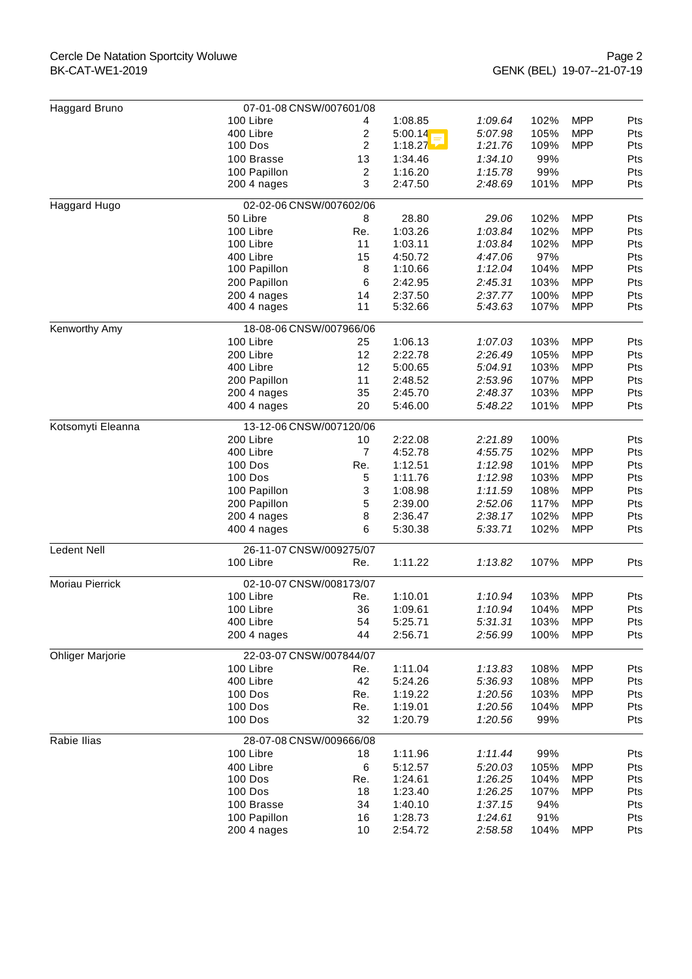## Cercle De Natation Sportcity Woluwe BK-CAT-WE1-2019

| Haggard Bruno           | 07-01-08 CNSW/007601/08    |                |                    |                    |              |            |            |
|-------------------------|----------------------------|----------------|--------------------|--------------------|--------------|------------|------------|
|                         | 100 Libre                  | 4              | 1:08.85            | 1:09.64            | 102%         | <b>MPP</b> | Pts        |
|                         | 400 Libre                  | 2              | 5:00.14            | 5:07.98            | 105%         | <b>MPP</b> | Pts        |
|                         | 100 Dos                    | 2              | 1:18.27            | 1:21.76            | 109%         | <b>MPP</b> | Pts        |
|                         | 100 Brasse                 | 13             | 1:34.46            | 1:34.10            | 99%          |            | Pts        |
|                         | 100 Papillon               | $\overline{2}$ | 1:16.20            | 1:15.78            | 99%          |            | Pts        |
|                         | 200 4 nages                | 3              | 2:47.50            | 2:48.69            | 101%         | <b>MPP</b> | Pts        |
| Haggard Hugo            | 02-02-06 CNSW/007602/06    |                |                    |                    |              |            |            |
|                         | 50 Libre                   | 8              | 28.80              | 29.06              | 102%         | <b>MPP</b> | Pts        |
|                         | 100 Libre                  | Re.            | 1:03.26            | 1:03.84            | 102%         | <b>MPP</b> | Pts        |
|                         | 100 Libre                  | 11             | 1:03.11            | 1:03.84            | 102%         | <b>MPP</b> | Pts        |
|                         | 400 Libre                  | 15             | 4:50.72            | 4:47.06            | 97%          |            | Pts        |
|                         | 100 Papillon               | 8              | 1:10.66            | 1:12.04            | 104%         | <b>MPP</b> | Pts        |
|                         | 200 Papillon               | 6              | 2:42.95            | 2:45.31            | 103%         | <b>MPP</b> | Pts        |
|                         | 200 4 nages                | 14             | 2:37.50            | 2:37.77            | 100%         | <b>MPP</b> | Pts        |
|                         | 400 4 nages                | 11             | 5:32.66            | 5:43.63            | 107%         | <b>MPP</b> | Pts        |
| Kenworthy Amy           | 18-08-06 CNSW/007966/06    |                |                    |                    |              |            |            |
|                         | 100 Libre                  | 25             | 1:06.13            | 1:07.03            | 103%         | <b>MPP</b> | Pts        |
|                         | 200 Libre                  | 12             | 2:22.78            | 2:26.49            | 105%         | <b>MPP</b> | Pts        |
|                         | 400 Libre                  | 12             | 5:00.65            | 5:04.91            | 103%         | <b>MPP</b> | Pts        |
|                         | 200 Papillon               | 11             | 2:48.52            | 2:53.96            | 107%         | <b>MPP</b> | Pts        |
|                         | 200 4 nages                | 35             | 2:45.70            | 2:48.37            | 103%<br>101% | <b>MPP</b> | Pts        |
|                         | 400 4 nages                | 20             | 5:46.00            | 5:48.22            |              | <b>MPP</b> | Pts        |
| Kotsomyti Eleanna       | 13-12-06 CNSW/007120/06    |                |                    |                    |              |            |            |
|                         | 200 Libre                  | 10             | 2:22.08            | 2:21.89            | 100%         |            | Pts        |
|                         | 400 Libre                  | $\overline{7}$ | 4:52.78            | 4:55.75            | 102%         | <b>MPP</b> | Pts        |
|                         | 100 Dos                    | Re.            | 1:12.51            | 1:12.98            | 101%         | <b>MPP</b> | Pts        |
|                         | 100 Dos                    | 5              | 1:11.76            | 1:12.98            | 103%         | <b>MPP</b> | Pts        |
|                         | 100 Papillon               | 3              | 1:08.98            | 1:11.59            | 108%         | <b>MPP</b> | Pts        |
|                         | 200 Papillon               | 5              | 2:39.00            | 2:52.06            | 117%         | <b>MPP</b> | Pts        |
|                         | 200 4 nages                | 8              | 2:36.47            | 2:38.17            | 102%         | <b>MPP</b> | Pts        |
|                         | 400 4 nages                | 6              | 5:30.38            | 5:33.71            | 102%         | <b>MPP</b> | Pts        |
| <b>Ledent Nell</b>      | 26-11-07 CNSW/009275/07    |                |                    |                    |              |            |            |
|                         | 100 Libre                  | Re.            | 1:11.22            | 1:13.82            | 107%         | <b>MPP</b> | Pts        |
| Moriau Pierrick         | 02-10-07 CNSW/008173/07    |                |                    |                    |              |            |            |
|                         | 100 Libre                  | Re.            | 1:10.01            | 1:10.94            | 103%         | <b>MPP</b> | Pts        |
|                         | 100 Libre                  | 36             | 1:09.61            | 1:10.94            | 104%         | <b>MPP</b> | Pts        |
|                         | 400 Libre                  | 54             | 5:25.71            | 5:31.31            | 103%         | <b>MPP</b> | Pts        |
|                         | 200 4 nages                | 44             | 2:56.71            | 2:56.99            | 100%         | <b>MPP</b> | Pts        |
| <b>Ohliger Marjorie</b> | 22-03-07 CNSW/007844/07    |                |                    |                    |              |            |            |
|                         | 100 Libre                  | Re.            | 1:11.04            | 1:13.83            | 108%         | <b>MPP</b> | Pts        |
|                         | 400 Libre                  | 42             | 5:24.26            | 5:36.93            | 108%         | <b>MPP</b> | Pts        |
|                         | 100 Dos                    | Re.            | 1:19.22            | 1:20.56            | 103%         | <b>MPP</b> | Pts        |
|                         | 100 Dos                    | Re.            | 1:19.01            | 1:20.56            | 104%         | <b>MPP</b> | Pts        |
|                         | 100 Dos                    | 32             | 1:20.79            | 1:20.56            | 99%          |            | Pts        |
| Rabie Ilias             | 28-07-08 CNSW/009666/08    |                |                    |                    |              |            |            |
|                         | 100 Libre                  | 18             | 1:11.96            | 1:11.44            | 99%          |            | Pts        |
|                         | 400 Libre                  | 6              | 5:12.57            | 5:20.03            | 105%         | <b>MPP</b> | Pts        |
|                         | 100 Dos                    | Re.            | 1:24.61            | 1:26.25            | 104%         | <b>MPP</b> | Pts        |
|                         | 100 Dos                    | 18             | 1:23.40            | 1:26.25            | 107%         | <b>MPP</b> | Pts        |
|                         | 100 Brasse<br>100 Papillon | 34<br>16       | 1:40.10<br>1:28.73 | 1:37.15<br>1:24.61 | 94%<br>91%   |            | Pts<br>Pts |
|                         | 200 4 nages                | 10             | 2:54.72            | 2:58.58            | 104%         | <b>MPP</b> | Pts        |
|                         |                            |                |                    |                    |              |            |            |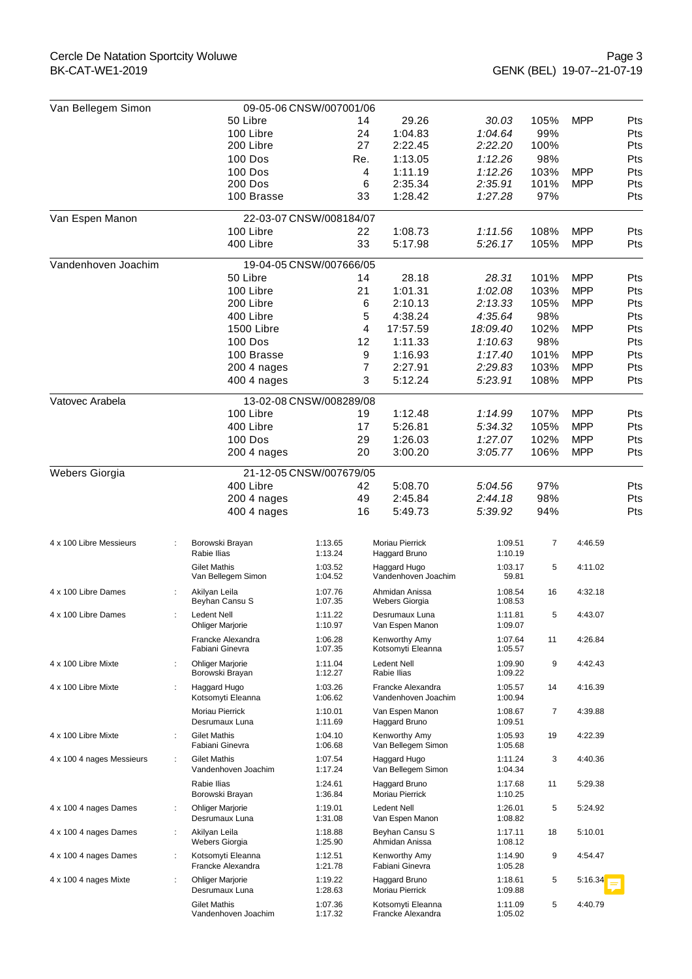| Van Bellegem Simon             | 09-05-06 CNSW/007001/06                                           |                         |     |                                          |                    |      |            |     |  |
|--------------------------------|-------------------------------------------------------------------|-------------------------|-----|------------------------------------------|--------------------|------|------------|-----|--|
|                                | 50 Libre                                                          |                         | 14  | 29.26                                    | 30.03              | 105% | <b>MPP</b> | Pts |  |
|                                | 100 Libre                                                         |                         | 24  | 1:04.83                                  | 1:04.64            | 99%  |            | Pts |  |
|                                | 200 Libre                                                         |                         | 27  | 2:22.45                                  | 2:22.20            | 100% |            | Pts |  |
|                                | <b>100 Dos</b>                                                    |                         | Re. | 1:13.05                                  | 1:12.26            | 98%  |            | Pts |  |
|                                | <b>100 Dos</b>                                                    |                         | 4   | 1:11.19                                  | 1:12.26            | 103% | <b>MPP</b> | Pts |  |
|                                | <b>200 Dos</b>                                                    |                         | 6   | 2:35.34                                  | 2:35.91            | 101% | <b>MPP</b> | Pts |  |
|                                | 100 Brasse                                                        |                         | 33  | 1:28.42                                  | 1:27.28            | 97%  |            | Pts |  |
| Van Espen Manon                |                                                                   | 22-03-07 CNSW/008184/07 |     |                                          |                    |      |            |     |  |
|                                | 100 Libre                                                         |                         | 22  | 1:08.73                                  | 1:11.56            | 108% | <b>MPP</b> | Pts |  |
|                                | 400 Libre                                                         |                         | 33  | 5:17.98                                  | 5:26.17            | 105% | <b>MPP</b> | Pts |  |
| Vandenhoven Joachim            |                                                                   | 19-04-05 CNSW/007666/05 |     |                                          |                    |      |            |     |  |
|                                | 50 Libre                                                          |                         | 14  | 28.18                                    | 28.31              | 101% | <b>MPP</b> | Pts |  |
|                                | 100 Libre                                                         |                         | 21  | 1:01.31                                  | 1:02.08            | 103% | <b>MPP</b> | Pts |  |
|                                | 200 Libre                                                         |                         | 6   | 2:10.13                                  | 2:13.33            | 105% | <b>MPP</b> | Pts |  |
|                                | 400 Libre                                                         |                         | 5   | 4:38.24                                  | 4:35.64            | 98%  |            | Pts |  |
|                                | 1500 Libre                                                        |                         | 4   | 17:57.59                                 | 18:09.40           | 102% | <b>MPP</b> | Pts |  |
|                                | <b>100 Dos</b>                                                    |                         | 12  | 1:11.33                                  | 1:10.63            | 98%  |            | Pts |  |
|                                | 100 Brasse                                                        |                         | 9   | 1:16.93                                  | 1:17.40            | 101% | <b>MPP</b> | Pts |  |
|                                | 200 4 nages                                                       |                         | 7   | 2:27.91                                  | 2:29.83            | 103% | <b>MPP</b> | Pts |  |
|                                | 400 4 nages                                                       |                         | 3   | 5:12.24                                  | 5:23.91            | 108% | <b>MPP</b> | Pts |  |
| Vatovec Arabela                |                                                                   | 13-02-08 CNSW/008289/08 |     |                                          |                    |      |            |     |  |
|                                | 100 Libre                                                         |                         | 19  | 1:12.48                                  | 1:14.99            | 107% | <b>MPP</b> | Pts |  |
|                                | 400 Libre                                                         |                         | 17  | 5:26.81                                  | 5:34.32            | 105% | <b>MPP</b> | Pts |  |
|                                | 100 Dos                                                           |                         | 29  | 1:26.03                                  | 1:27.07            | 102% | <b>MPP</b> | Pts |  |
|                                | $2004$ nages                                                      |                         | 20  | 3:00.20                                  | 3:05.77            | 106% | <b>MPP</b> | Pts |  |
|                                |                                                                   |                         |     |                                          |                    |      |            |     |  |
| Webers Giorgia                 |                                                                   | 21-12-05 CNSW/007679/05 |     |                                          |                    |      |            |     |  |
|                                | 400 Libre                                                         |                         | 42  | 5:08.70                                  | 5:04.56            | 97%  |            | Pts |  |
|                                | 200 4 nages                                                       |                         | 49  | 2:45.84                                  | 2:44.18            | 98%  |            | Pts |  |
|                                | 400 4 nages                                                       |                         | 16  | 5:49.73                                  | 5:39.92            | 94%  |            | Pts |  |
| 4 x 100 Libre Messieurs        | Borowski Brayan                                                   | 1:13.65                 |     | Moriau Pierrick                          | 1:09.51            | 7    | 4:46.59    |     |  |
|                                | Rabie Ilias                                                       | 1:13.24                 |     | Haggard Bruno                            | 1:10.19            |      |            |     |  |
|                                | <b>Gilet Mathis</b><br>Van Bellegem Simon                         | 1:03.52<br>1:04.52      |     | Haggard Hugo<br>Vandenhoven Joachim      | 1:03.17<br>59.81   | 5    | 4:11.02    |     |  |
| 4 x 100 Libre Dames            | Akilyan Leila<br>Beyhan Cansu S                                   | 1:07.76<br>1:07.35      |     | Ahmidan Anissa<br>Webers Giorgia         | 1:08.54<br>1:08.53 | 16   | 4:32.18    |     |  |
| 4 x 100 Libre Dames            | Ledent Nell<br><b>Ohliger Marjorie</b>                            | 1:11.22<br>1:10.97      |     | Desrumaux Luna<br>Van Espen Manon        | 1:11.81<br>1:09.07 | 5    | 4:43.07    |     |  |
|                                | Francke Alexandra                                                 | 1:06.28                 |     | Kenworthy Amy                            | 1:07.64            | 11   | 4:26.84    |     |  |
| 4 x 100 Libre Mixte            | Fabiani Ginevra<br><b>Ohliger Marjorie</b>                        | 1:07.35<br>1:11.04      |     | Kotsomyti Eleanna<br>Ledent Nell         | 1:05.57<br>1:09.90 | 9    | 4:42.43    |     |  |
|                                | Borowski Brayan                                                   | 1:12.27                 |     | Rabie Ilias                              | 1:09.22            |      |            |     |  |
| 4 x 100 Libre Mixte<br>÷       | Haggard Hugo<br>Kotsomyti Eleanna                                 | 1:03.26<br>1:06.62      |     | Francke Alexandra<br>Vandenhoven Joachim | 1:05.57<br>1:00.94 | 14   | 4:16.39    |     |  |
|                                | Moriau Pierrick<br>Desrumaux Luna                                 | 1:10.01<br>1:11.69      |     | Van Espen Manon<br>Haggard Bruno         | 1:08.67<br>1:09.51 | 7    | 4:39.88    |     |  |
| 4 x 100 Libre Mixte            | <b>Gilet Mathis</b><br>Fabiani Ginevra                            | 1:04.10<br>1:06.68      |     | Kenworthy Amy<br>Van Bellegem Simon      | 1:05.93<br>1:05.68 | 19   | 4:22.39    |     |  |
| 4 x 100 4 nages Messieurs<br>÷ | <b>Gilet Mathis</b><br>Vandenhoven Joachim                        | 1:07.54<br>1:17.24      |     | Haggard Hugo<br>Van Bellegem Simon       | 1:11.24<br>1:04.34 | 3    | 4:40.36    |     |  |
|                                | Rabie Ilias                                                       | 1:24.61                 |     | Haggard Bruno                            | 1:17.68            | 11   | 5:29.38    |     |  |
|                                | Borowski Brayan                                                   | 1:36.84                 |     | Moriau Pierrick<br><b>Ledent Nell</b>    | 1:10.25<br>1:26.01 | 5    |            |     |  |
| 4 x 100 4 nages Dames          | <b>Ohliger Marjorie</b><br>$\ddot{\phantom{a}}$<br>Desrumaux Luna | 1:19.01<br>1:31.08      |     | Van Espen Manon                          | 1:08.82            |      | 5:24.92    |     |  |
| 4 x 100 4 nages Dames          | Akilyan Leila<br>÷<br><b>Webers Giorgia</b>                       | 1:18.88<br>1:25.90      |     | Beyhan Cansu S<br>Ahmidan Anissa         | 1:17.11<br>1:08.12 | 18   | 5:10.01    |     |  |
| 4 x 100 4 nages Dames          | Kotsomyti Eleanna<br>$\ddot{\phantom{a}}$<br>Francke Alexandra    | 1:12.51<br>1:21.78      |     | Kenworthy Amy<br>Fabiani Ginevra         | 1:14.90<br>1:05.28 | 9    | 4:54.47    |     |  |
| 4 x 100 4 nages Mixte          | <b>Ohliger Marjorie</b><br>$\ddot{\phantom{a}}$<br>Desrumaux Luna | 1:19.22<br>1:28.63      |     | Haggard Bruno<br>Moriau Pierrick         | 1:18.61<br>1:09.88 | 5    | 5:16.34    |     |  |
|                                | <b>Gilet Mathis</b><br>Vandenhoven Joachim                        | 1:07.36<br>1:17.32      |     | Kotsomyti Eleanna<br>Francke Alexandra   | 1:11.09<br>1:05.02 | 5    | 4:40.79    |     |  |